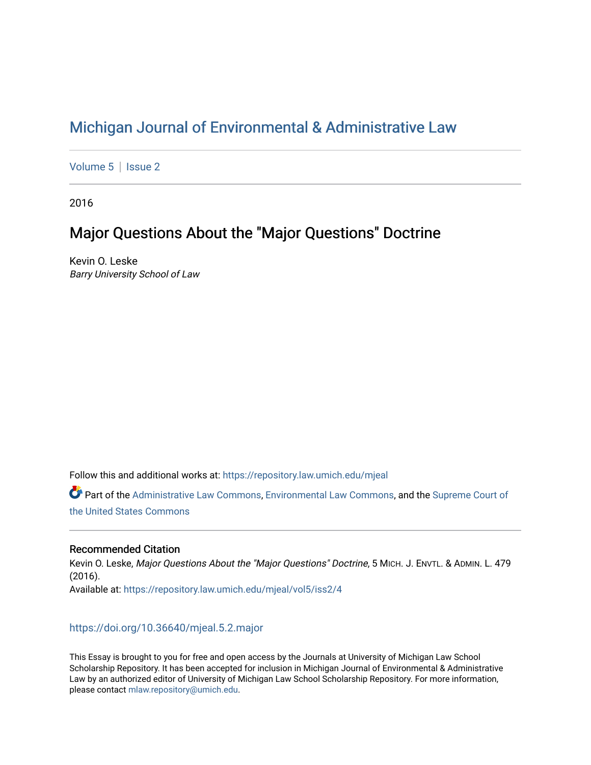# [Michigan Journal of Environmental & Administrative Law](https://repository.law.umich.edu/mjeal)

[Volume 5](https://repository.law.umich.edu/mjeal/vol5) | Issue 2

2016

# Major Questions About the "Major Questions" Doctrine

Kevin O. Leske Barry University School of Law

Follow this and additional works at: [https://repository.law.umich.edu/mjeal](https://repository.law.umich.edu/mjeal?utm_source=repository.law.umich.edu%2Fmjeal%2Fvol5%2Fiss2%2F4&utm_medium=PDF&utm_campaign=PDFCoverPages)

Part of the [Administrative Law Commons,](http://network.bepress.com/hgg/discipline/579?utm_source=repository.law.umich.edu%2Fmjeal%2Fvol5%2Fiss2%2F4&utm_medium=PDF&utm_campaign=PDFCoverPages) [Environmental Law Commons](http://network.bepress.com/hgg/discipline/599?utm_source=repository.law.umich.edu%2Fmjeal%2Fvol5%2Fiss2%2F4&utm_medium=PDF&utm_campaign=PDFCoverPages), and the [Supreme Court of](http://network.bepress.com/hgg/discipline/1350?utm_source=repository.law.umich.edu%2Fmjeal%2Fvol5%2Fiss2%2F4&utm_medium=PDF&utm_campaign=PDFCoverPages)  [the United States Commons](http://network.bepress.com/hgg/discipline/1350?utm_source=repository.law.umich.edu%2Fmjeal%2Fvol5%2Fiss2%2F4&utm_medium=PDF&utm_campaign=PDFCoverPages) 

## Recommended Citation

Kevin O. Leske, Major Questions About the "Major Questions" Doctrine, 5 MICH. J. ENVTL. & ADMIN. L. 479 (2016). Available at: [https://repository.law.umich.edu/mjeal/vol5/iss2/4](https://repository.law.umich.edu/mjeal/vol5/iss2/4?utm_source=repository.law.umich.edu%2Fmjeal%2Fvol5%2Fiss2%2F4&utm_medium=PDF&utm_campaign=PDFCoverPages)

# <https://doi.org/10.36640/mjeal.5.2.major>

This Essay is brought to you for free and open access by the Journals at University of Michigan Law School Scholarship Repository. It has been accepted for inclusion in Michigan Journal of Environmental & Administrative Law by an authorized editor of University of Michigan Law School Scholarship Repository. For more information, please contact [mlaw.repository@umich.edu.](mailto:mlaw.repository@umich.edu)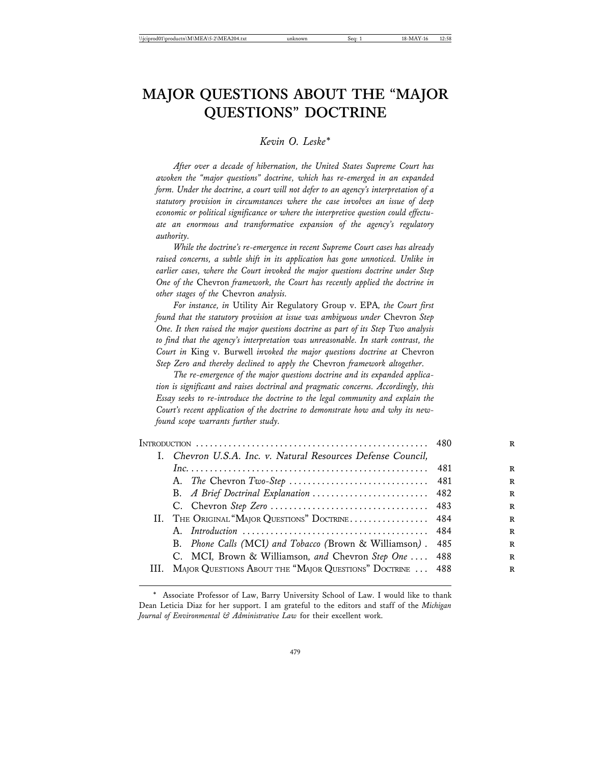# **MAJOR QUESTIONS ABOUT THE "MAJOR QUESTIONS" DOCTRINE**

## *Kevin O. Leske\**

*After over a decade of hibernation, the United States Supreme Court has awoken the "major questions" doctrine, which has re-emerged in an expanded form. Under the doctrine, a court will not defer to an agency's interpretation of a statutory provision in circumstances where the case involves an issue of deep economic or political significance or where the interpretive question could effectuate an enormous and transformative expansion of the agency's regulatory authority.*

*While the doctrine's re-emergence in recent Supreme Court cases has already raised concerns, a subtle shift in its application has gone unnoticed. Unlike in earlier cases, where the Court invoked the major questions doctrine under Step One of the* Chevron *framework, the Court has recently applied the doctrine in other stages of the* Chevron *analysis.*

*For instance, in* Utility Air Regulatory Group v. EPA*, the Court first found that the statutory provision at issue was ambiguous under* Chevron *Step One. It then raised the major questions doctrine as part of its Step Two analysis to find that the agency's interpretation was unreasonable. In stark contrast, the Court in* King v. Burwell *invoked the major questions doctrine at* Chevron *Step Zero and thereby declined to apply the* Chevron *framework altogether.*

*The re-emergence of the major questions doctrine and its expanded application is significant and raises doctrinal and pragmatic concerns. Accordingly, this Essay seeks to re-introduce the doctrine to the legal community and explain the Court's recent application of the doctrine to demonstrate how and why its newfound scope warrants further study.*

|  | I. Chevron U.S.A. Inc. v. Natural Resources Defense Council, |      |
|--|--------------------------------------------------------------|------|
|  |                                                              | -481 |
|  |                                                              |      |
|  | B. A Brief Doctrinal Explanation  482                        |      |
|  |                                                              |      |
|  | II. THE ORIGINAL "MAJOR QUESTIONS" DOCTRINE 484              |      |
|  |                                                              |      |
|  | B. Phone Calls (MCI) and Tobacco (Brown & Williamson). 485   |      |
|  | C. MCI, Brown & Williamson, and Chevron Step One  488        |      |
|  | MAJOR QUESTIONS ABOUT THE "MAJOR QUESTIONS" DOCTRINE  488    |      |
|  |                                                              |      |

<sup>\*</sup> Associate Professor of Law, Barry University School of Law. I would like to thank Dean Leticia Diaz for her support. I am grateful to the editors and staff of the *Michigan Journal of Environmental & Administrative Law* for their excellent work.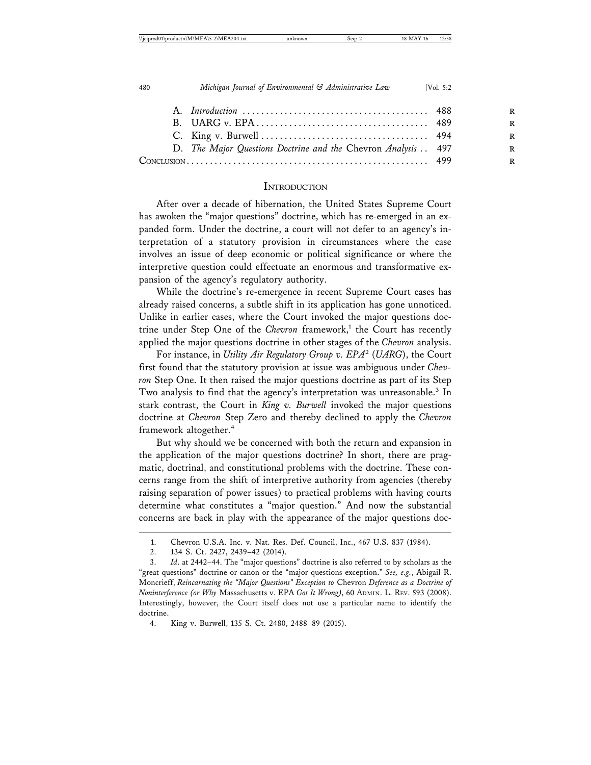|  | D. The Major Questions Doctrine and the Chevron Analysis 497 |  |
|--|--------------------------------------------------------------|--|
|  |                                                              |  |
|  |                                                              |  |

#### **INTRODUCTION**

After over a decade of hibernation, the United States Supreme Court has awoken the "major questions" doctrine, which has re-emerged in an expanded form. Under the doctrine, a court will not defer to an agency's interpretation of a statutory provision in circumstances where the case involves an issue of deep economic or political significance or where the interpretive question could effectuate an enormous and transformative expansion of the agency's regulatory authority.

While the doctrine's re-emergence in recent Supreme Court cases has already raised concerns, a subtle shift in its application has gone unnoticed. Unlike in earlier cases, where the Court invoked the major questions doctrine under Step One of the *Chevron* framework,<sup>1</sup> the Court has recently applied the major questions doctrine in other stages of the *Chevron* analysis.

For instance, in *Utility Air Regulatory Group v. EPA*<sup>2</sup> (*UARG*), the Court first found that the statutory provision at issue was ambiguous under *Chevron* Step One. It then raised the major questions doctrine as part of its Step Two analysis to find that the agency's interpretation was unreasonable.<sup>3</sup> In stark contrast, the Court in *King v. Burwell* invoked the major questions doctrine at *Chevron* Step Zero and thereby declined to apply the *Chevron* framework altogether.<sup>4</sup>

But why should we be concerned with both the return and expansion in the application of the major questions doctrine? In short, there are pragmatic, doctrinal, and constitutional problems with the doctrine. These concerns range from the shift of interpretive authority from agencies (thereby raising separation of power issues) to practical problems with having courts determine what constitutes a "major question." And now the substantial concerns are back in play with the appearance of the major questions doc-

<sup>1.</sup> Chevron U.S.A. Inc. v. Nat. Res. Def. Council, Inc., 467 U.S. 837 (1984).

<sup>2. 134</sup> S. Ct. 2427, 2439–42 (2014).

<sup>3.</sup> *Id*. at 2442–44. The "major questions" doctrine is also referred to by scholars as the "great questions" doctrine or canon or the "major questions exception." *See, e.g.*, Abigail R. Moncrieff, *Reincarnating the "Major Questions" Exception to* Chevron *Deference as a Doctrine of Noninterference (or Why* Massachusetts v. EPA *Got It Wrong)*, 60 ADMIN. L. REV. 593 (2008). Interestingly, however, the Court itself does not use a particular name to identify the doctrine.

<sup>4.</sup> King v. Burwell, 135 S. Ct. 2480, 2488–89 (2015).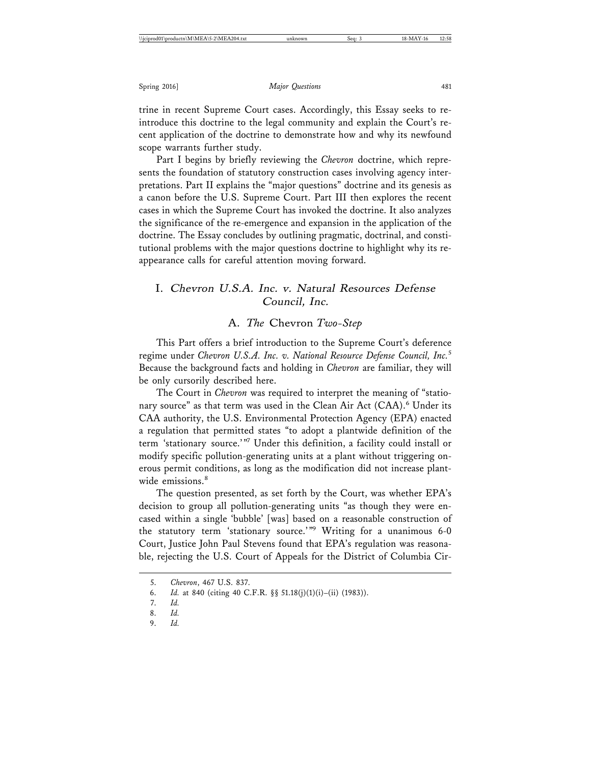trine in recent Supreme Court cases. Accordingly, this Essay seeks to reintroduce this doctrine to the legal community and explain the Court's recent application of the doctrine to demonstrate how and why its newfound scope warrants further study.

Part I begins by briefly reviewing the *Chevron* doctrine, which represents the foundation of statutory construction cases involving agency interpretations. Part II explains the "major questions" doctrine and its genesis as a canon before the U.S. Supreme Court. Part III then explores the recent cases in which the Supreme Court has invoked the doctrine. It also analyzes the significance of the re-emergence and expansion in the application of the doctrine. The Essay concludes by outlining pragmatic, doctrinal, and constitutional problems with the major questions doctrine to highlight why its reappearance calls for careful attention moving forward.

## I. Chevron U.S.A. Inc. v. Natural Resources Defense Council, Inc.

#### A. *The* Chevron *Two-Step*

This Part offers a brief introduction to the Supreme Court's deference regime under *Chevron U.S.A. Inc. v. National Resource Defense Council, Inc.*<sup>5</sup> Because the background facts and holding in *Chevron* are familiar, they will be only cursorily described here.

The Court in *Chevron* was required to interpret the meaning of "stationary source" as that term was used in the Clean Air Act (CAA).<sup>6</sup> Under its CAA authority, the U.S. Environmental Protection Agency (EPA) enacted a regulation that permitted states "to adopt a plantwide definition of the term 'stationary source.'"7 Under this definition, a facility could install or modify specific pollution-generating units at a plant without triggering onerous permit conditions, as long as the modification did not increase plantwide emissions.<sup>8</sup>

The question presented, as set forth by the Court, was whether EPA's decision to group all pollution-generating units "as though they were encased within a single 'bubble' [was] based on a reasonable construction of the statutory term 'stationary source.'"<sup>9</sup> Writing for a unanimous 6-0 Court, Justice John Paul Stevens found that EPA's regulation was reasonable, rejecting the U.S. Court of Appeals for the District of Columbia Cir-

<sup>5.</sup> *Chevron*, 467 U.S. 837.

<sup>6.</sup> *Id.* at 840 (citing 40 C.F.R. §§ 51.18(j)(1)(i)–(ii) (1983)).

<sup>7.</sup> *Id.*

<sup>8.</sup> *Id.*

<sup>9.</sup> *Id.*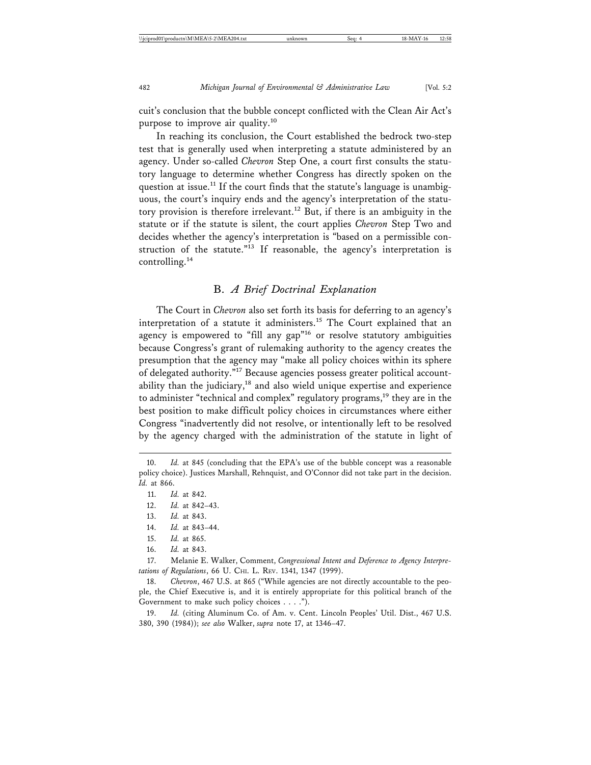cuit's conclusion that the bubble concept conflicted with the Clean Air Act's purpose to improve air quality.<sup>10</sup>

In reaching its conclusion, the Court established the bedrock two-step test that is generally used when interpreting a statute administered by an agency. Under so-called *Chevron* Step One, a court first consults the statutory language to determine whether Congress has directly spoken on the question at issue.<sup>11</sup> If the court finds that the statute's language is unambiguous, the court's inquiry ends and the agency's interpretation of the statutory provision is therefore irrelevant.<sup>12</sup> But, if there is an ambiguity in the statute or if the statute is silent, the court applies *Chevron* Step Two and decides whether the agency's interpretation is "based on a permissible construction of the statute."13 If reasonable, the agency's interpretation is controlling.14

#### B. *A Brief Doctrinal Explanation*

The Court in *Chevron* also set forth its basis for deferring to an agency's interpretation of a statute it administers.<sup>15</sup> The Court explained that an agency is empowered to "fill any gap"<sup>16</sup> or resolve statutory ambiguities because Congress's grant of rulemaking authority to the agency creates the presumption that the agency may "make all policy choices within its sphere of delegated authority."17 Because agencies possess greater political accountability than the judiciary,<sup>18</sup> and also wield unique expertise and experience to administer "technical and complex" regulatory programs,<sup>19</sup> they are in the best position to make difficult policy choices in circumstances where either Congress "inadvertently did not resolve, or intentionally left to be resolved by the agency charged with the administration of the statute in light of

- 14. *Id.* at 843–44.
- 15. *Id.* at 865.
- 16. *Id.* at 843.

<sup>10.</sup> *Id.* at 845 (concluding that the EPA's use of the bubble concept was a reasonable policy choice). Justices Marshall, Rehnquist, and O'Connor did not take part in the decision. *Id.* at 866.

<sup>11.</sup> *Id.* at 842.

<sup>12.</sup> *Id.* at 842–43.

<sup>13.</sup> *Id.* at 843.

<sup>17.</sup> Melanie E. Walker, Comment, *Congressional Intent and Deference to Agency Interpretations of Regulations*, 66 U. CHI. L. REV. 1341, 1347 (1999).

<sup>18.</sup> *Chevron*, 467 U.S. at 865 ("While agencies are not directly accountable to the people, the Chief Executive is, and it is entirely appropriate for this political branch of the Government to make such policy choices . . . .").

<sup>19.</sup> *Id.* (citing Aluminum Co. of Am. v. Cent. Lincoln Peoples' Util. Dist., 467 U.S. 380, 390 (1984)); *see also* Walker, *supra* note 17, at 1346–47.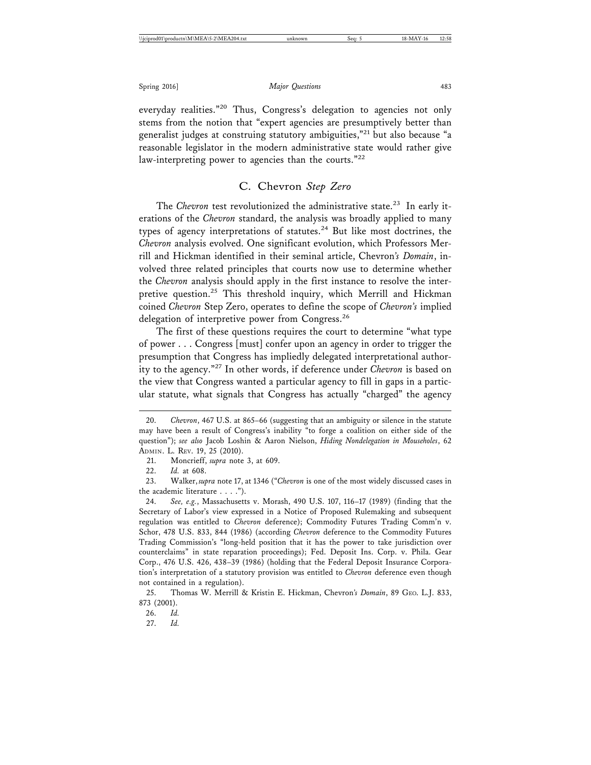everyday realities."<sup>20</sup> Thus, Congress's delegation to agencies not only stems from the notion that "expert agencies are presumptively better than generalist judges at construing statutory ambiguities,"21 but also because "a reasonable legislator in the modern administrative state would rather give law-interpreting power to agencies than the courts."<sup>22</sup>

## C. Chevron *Step Zero*

The *Chevron* test revolutionized the administrative state.<sup>23</sup> In early iterations of the *Chevron* standard, the analysis was broadly applied to many types of agency interpretations of statutes.<sup>24</sup> But like most doctrines, the *Chevron* analysis evolved. One significant evolution, which Professors Merrill and Hickman identified in their seminal article, Chevron*'s Domain*, involved three related principles that courts now use to determine whether the *Chevron* analysis should apply in the first instance to resolve the interpretive question.<sup>25</sup> This threshold inquiry, which Merrill and Hickman coined *Chevron* Step Zero, operates to define the scope of *Chevron's* implied delegation of interpretive power from Congress.<sup>26</sup>

The first of these questions requires the court to determine "what type of power . . . Congress [must] confer upon an agency in order to trigger the presumption that Congress has impliedly delegated interpretational authority to the agency."27 In other words, if deference under *Chevron* is based on the view that Congress wanted a particular agency to fill in gaps in a particular statute, what signals that Congress has actually "charged" the agency

22. *Id.* at 608.

23. Walker, *supra* note 17, at 1346 ("*Chevron* is one of the most widely discussed cases in the academic literature . . . .").

27. *Id.*

<sup>20.</sup> *Chevron*, 467 U.S. at 865–66 (suggesting that an ambiguity or silence in the statute may have been a result of Congress's inability "to forge a coalition on either side of the question"); *see also* Jacob Loshin & Aaron Nielson, *Hiding Nondelegation in Mouseholes*, 62 ADMIN. L. REV. 19, 25 (2010).

<sup>21.</sup> Moncrieff, *supra* note 3, at 609.

<sup>24.</sup> *See, e.g.*, Massachusetts v. Morash, 490 U.S. 107, 116–17 (1989) (finding that the Secretary of Labor's view expressed in a Notice of Proposed Rulemaking and subsequent regulation was entitled to *Chevron* deference); Commodity Futures Trading Comm'n v. Schor, 478 U.S. 833, 844 (1986) (according *Chevron* deference to the Commodity Futures Trading Commission's "long-held position that it has the power to take jurisdiction over counterclaims" in state reparation proceedings); Fed. Deposit Ins. Corp. v. Phila. Gear Corp., 476 U.S. 426, 438–39 (1986) (holding that the Federal Deposit Insurance Corporation's interpretation of a statutory provision was entitled to *Chevron* deference even though not contained in a regulation).

<sup>25.</sup> Thomas W. Merrill & Kristin E. Hickman, Chevron*'s Domain*, 89 GEO. L.J. 833, 873 (2001).

<sup>26.</sup> *Id.*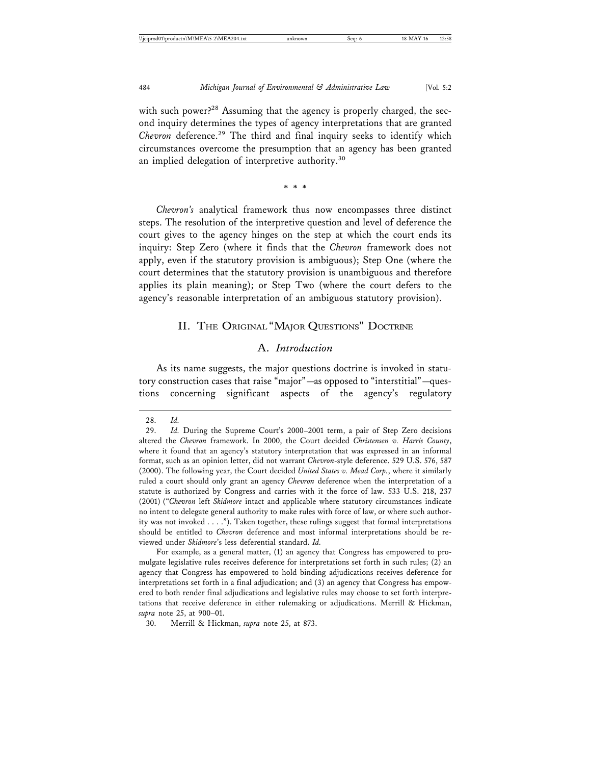with such power?<sup>28</sup> Assuming that the agency is properly charged, the second inquiry determines the types of agency interpretations that are granted *Chevron* deference.29 The third and final inquiry seeks to identify which circumstances overcome the presumption that an agency has been granted an implied delegation of interpretive authority.<sup>30</sup>

\* \* \*

*Chevron's* analytical framework thus now encompasses three distinct steps. The resolution of the interpretive question and level of deference the court gives to the agency hinges on the step at which the court ends its inquiry: Step Zero (where it finds that the *Chevron* framework does not apply, even if the statutory provision is ambiguous); Step One (where the court determines that the statutory provision is unambiguous and therefore applies its plain meaning); or Step Two (where the court defers to the agency's reasonable interpretation of an ambiguous statutory provision).

#### II. THE ORIGINAL "MAJOR QUESTIONS" DOCTRINE

## A. *Introduction*

As its name suggests, the major questions doctrine is invoked in statutory construction cases that raise "major"—as opposed to "interstitial"—questions concerning significant aspects of the agency's regulatory

For example, as a general matter, (1) an agency that Congress has empowered to promulgate legislative rules receives deference for interpretations set forth in such rules; (2) an agency that Congress has empowered to hold binding adjudications receives deference for interpretations set forth in a final adjudication; and (3) an agency that Congress has empowered to both render final adjudications and legislative rules may choose to set forth interpretations that receive deference in either rulemaking or adjudications. Merrill & Hickman, *supra* note 25, at 900–01.

<sup>28.</sup> *Id.*

<sup>29.</sup> *Id.* During the Supreme Court's 2000–2001 term, a pair of Step Zero decisions altered the *Chevron* framework. In 2000, the Court decided *Christensen v. Harris County*, where it found that an agency's statutory interpretation that was expressed in an informal format, such as an opinion letter, did not warrant *Chevron*-style deference. 529 U.S. 576, 587 (2000). The following year, the Court decided *United States v. Mead Corp.*, where it similarly ruled a court should only grant an agency *Chevron* deference when the interpretation of a statute is authorized by Congress and carries with it the force of law. 533 U.S. 218, 237 (2001) ("*Chevron* left *Skidmore* intact and applicable where statutory circumstances indicate no intent to delegate general authority to make rules with force of law, or where such authority was not invoked . . . ."). Taken together, these rulings suggest that formal interpretations should be entitled to *Chevron* deference and most informal interpretations should be reviewed under *Skidmore*'s less deferential standard. *Id.*

<sup>30.</sup> Merrill & Hickman, *supra* note 25, at 873.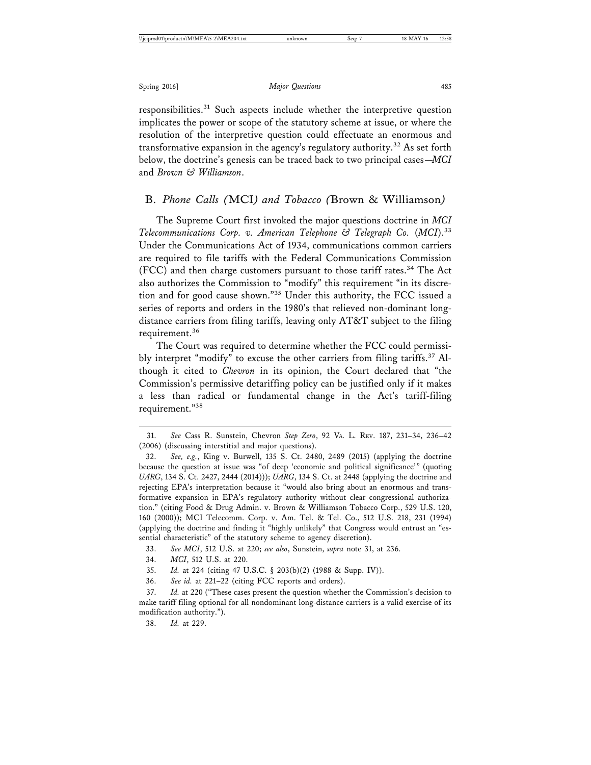responsibilities.<sup>31</sup> Such aspects include whether the interpretive question implicates the power or scope of the statutory scheme at issue, or where the resolution of the interpretive question could effectuate an enormous and transformative expansion in the agency's regulatory authority.<sup>32</sup> As set forth below, the doctrine's genesis can be traced back to two principal cases—*MCI* and *Brown & Williamson*.

### B. *Phone Calls (*MCI*) and Tobacco (*Brown & Williamson*)*

The Supreme Court first invoked the major questions doctrine in *MCI Telecommunications Corp. v. American Telephone & Telegraph Co.* (*MCI*).33 Under the Communications Act of 1934, communications common carriers are required to file tariffs with the Federal Communications Commission (FCC) and then charge customers pursuant to those tariff rates.<sup>34</sup> The Act also authorizes the Commission to "modify" this requirement "in its discretion and for good cause shown."35 Under this authority, the FCC issued a series of reports and orders in the 1980's that relieved non-dominant longdistance carriers from filing tariffs, leaving only AT&T subject to the filing requirement.<sup>36</sup>

The Court was required to determine whether the FCC could permissibly interpret "modify" to excuse the other carriers from filing tariffs.<sup>37</sup> Although it cited to *Chevron* in its opinion, the Court declared that "the Commission's permissive detariffing policy can be justified only if it makes a less than radical or fundamental change in the Act's tariff-filing requirement."38

33. *See MCI*, 512 U.S. at 220; *see also*, Sunstein, *supra* note 31, at 236.

34. *MCI*, 512 U.S. at 220.

37. *Id.* at 220 ("These cases present the question whether the Commission's decision to make tariff filing optional for all nondominant long-distance carriers is a valid exercise of its modification authority.").

38. *Id.* at 229.

<sup>31.</sup> *See* Cass R. Sunstein, Chevron *Step Zero*, 92 VA. L. REV. 187, 231–34, 236–42 (2006) (discussing interstitial and major questions).

<sup>32.</sup> *See, e.g.*, King v. Burwell, 135 S. Ct. 2480, 2489 (2015) (applying the doctrine because the question at issue was "of deep 'economic and political significance'" (quoting *UARG*, 134 S. Ct. 2427, 2444 (2014))); *UARG*, 134 S. Ct. at 2448 (applying the doctrine and rejecting EPA's interpretation because it "would also bring about an enormous and transformative expansion in EPA's regulatory authority without clear congressional authorization." (citing Food & Drug Admin. v. Brown & Williamson Tobacco Corp., 529 U.S. 120, 160 (2000)); MCI Telecomm. Corp. v. Am. Tel. & Tel. Co., 512 U.S. 218, 231 (1994) (applying the doctrine and finding it "highly unlikely" that Congress would entrust an "essential characteristic" of the statutory scheme to agency discretion).

<sup>35.</sup> *Id.* at 224 (citing 47 U.S.C. § 203(b)(2) (1988 & Supp. IV)).

<sup>36.</sup> *See id.* at 221–22 (citing FCC reports and orders).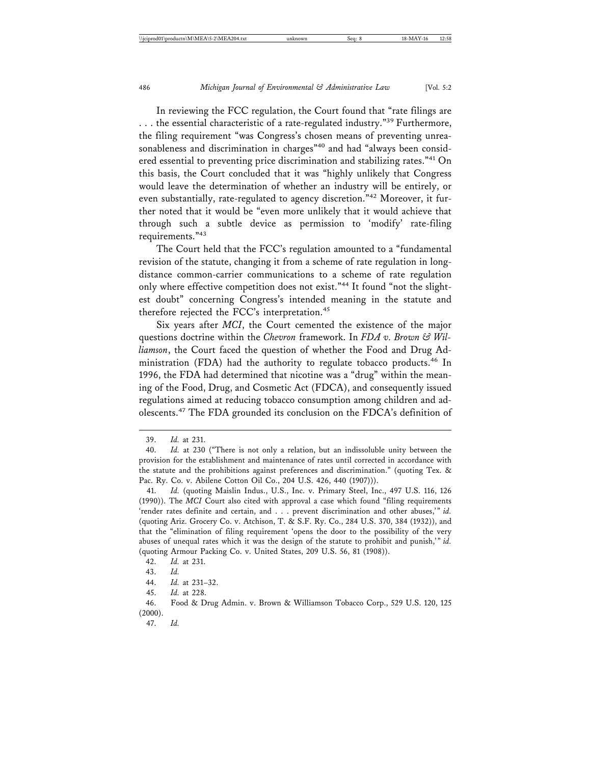In reviewing the FCC regulation, the Court found that "rate filings are ... the essential characteristic of a rate-regulated industry."<sup>39</sup> Furthermore, the filing requirement "was Congress's chosen means of preventing unreasonableness and discrimination in charges"<sup>40</sup> and had "always been considered essential to preventing price discrimination and stabilizing rates."41 On this basis, the Court concluded that it was "highly unlikely that Congress would leave the determination of whether an industry will be entirely, or even substantially, rate-regulated to agency discretion."42 Moreover, it further noted that it would be "even more unlikely that it would achieve that through such a subtle device as permission to 'modify' rate-filing requirements."43

The Court held that the FCC's regulation amounted to a "fundamental revision of the statute, changing it from a scheme of rate regulation in longdistance common-carrier communications to a scheme of rate regulation only where effective competition does not exist."<sup>44</sup> It found "not the slightest doubt" concerning Congress's intended meaning in the statute and therefore rejected the FCC's interpretation.<sup>45</sup>

Six years after *MCI*, the Court cemented the existence of the major questions doctrine within the *Chevron* framework. In *FDA v. Brown & Williamson*, the Court faced the question of whether the Food and Drug Administration (FDA) had the authority to regulate tobacco products.<sup>46</sup> In 1996, the FDA had determined that nicotine was a "drug" within the meaning of the Food, Drug, and Cosmetic Act (FDCA), and consequently issued regulations aimed at reducing tobacco consumption among children and adolescents.47 The FDA grounded its conclusion on the FDCA's definition of

<sup>39.</sup> *Id.* at 231.

<sup>40.</sup> *Id.* at 230 ("There is not only a relation, but an indissoluble unity between the provision for the establishment and maintenance of rates until corrected in accordance with the statute and the prohibitions against preferences and discrimination." (quoting Tex. & Pac. Ry. Co. v. Abilene Cotton Oil Co., 204 U.S. 426, 440 (1907))).

<sup>41.</sup> *Id.* (quoting Maislin Indus., U.S., Inc. v. Primary Steel, Inc., 497 U.S. 116, 126 (1990)). The *MCI* Court also cited with approval a case which found "filing requirements 'render rates definite and certain, and . . . prevent discrimination and other abuses,'" *id.* (quoting Ariz. Grocery Co. v. Atchison, T. & S.F. Ry. Co., 284 U.S. 370, 384 (1932)), and that the "elimination of filing requirement 'opens the door to the possibility of the very abuses of unequal rates which it was the design of the statute to prohibit and punish,'" *id.* (quoting Armour Packing Co. v. United States, 209 U.S. 56, 81 (1908)).

<sup>42.</sup> *Id.* at 231.

<sup>43.</sup> *Id.*

<sup>44.</sup> *Id.* at 231–32.

<sup>45.</sup> *Id.* at 228.

<sup>46.</sup> Food & Drug Admin. v. Brown & Williamson Tobacco Corp., 529 U.S. 120, 125  $(2000).$ 

<sup>47.</sup> *Id.*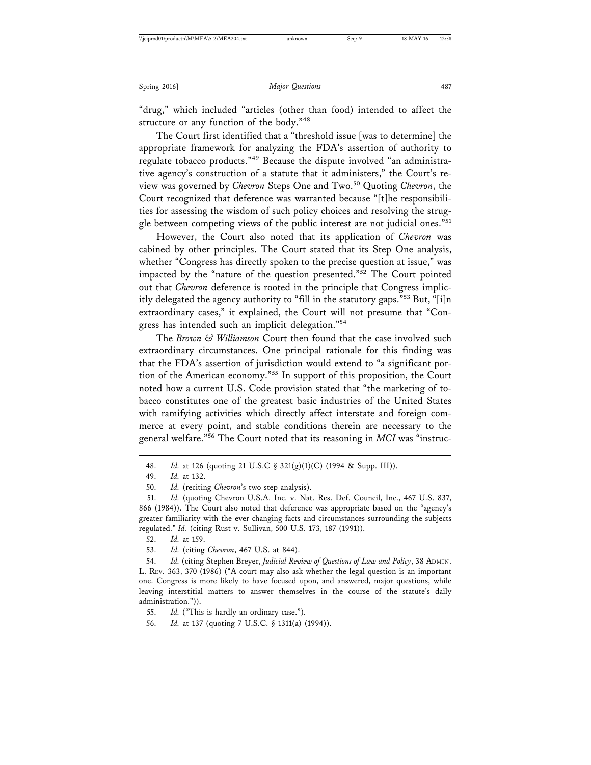"drug," which included "articles (other than food) intended to affect the structure or any function of the body."<sup>48</sup>

The Court first identified that a "threshold issue [was to determine] the appropriate framework for analyzing the FDA's assertion of authority to regulate tobacco products."49 Because the dispute involved "an administrative agency's construction of a statute that it administers," the Court's review was governed by *Chevron* Steps One and Two.50 Quoting *Chevron*, the Court recognized that deference was warranted because "[t]he responsibilities for assessing the wisdom of such policy choices and resolving the struggle between competing views of the public interest are not judicial ones."<sup>51</sup>

However, the Court also noted that its application of *Chevron* was cabined by other principles. The Court stated that its Step One analysis, whether "Congress has directly spoken to the precise question at issue," was impacted by the "nature of the question presented."52 The Court pointed out that *Chevron* deference is rooted in the principle that Congress implicitly delegated the agency authority to "fill in the statutory gaps."53 But, "[i]n extraordinary cases," it explained, the Court will not presume that "Congress has intended such an implicit delegation."54

The *Brown & Williamson* Court then found that the case involved such extraordinary circumstances. One principal rationale for this finding was that the FDA's assertion of jurisdiction would extend to "a significant portion of the American economy."55 In support of this proposition, the Court noted how a current U.S. Code provision stated that "the marketing of tobacco constitutes one of the greatest basic industries of the United States with ramifying activities which directly affect interstate and foreign commerce at every point, and stable conditions therein are necessary to the general welfare."56 The Court noted that its reasoning in *MCI* was "instruc-

<sup>48.</sup> *Id.* at 126 (quoting 21 U.S.C § 321(g)(1)(C) (1994 & Supp. III)).

<sup>49.</sup> *Id.* at 132.

<sup>50.</sup> *Id.* (reciting *Chevron*'s two-step analysis).

<sup>51.</sup> *Id.* (quoting Chevron U.S.A. Inc. v. Nat. Res. Def. Council, Inc., 467 U.S. 837, 866 (1984)). The Court also noted that deference was appropriate based on the "agency's greater familiarity with the ever-changing facts and circumstances surrounding the subjects regulated." *Id.* (citing Rust v. Sullivan, 500 U.S. 173, 187 (1991)).

<sup>52.</sup> *Id.* at 159.

<sup>53.</sup> *Id.* (citing *Chevron*, 467 U.S. at 844).

<sup>54.</sup> *Id.* (citing Stephen Breyer, *Judicial Review of Questions of Law and Policy*, 38 ADMIN. L. REV. 363, 370 (1986) ("A court may also ask whether the legal question is an important one. Congress is more likely to have focused upon, and answered, major questions, while leaving interstitial matters to answer themselves in the course of the statute's daily administration.")).

<sup>55.</sup> *Id.* ("This is hardly an ordinary case.").

<sup>56.</sup> *Id.* at 137 (quoting 7 U.S.C. § 1311(a) (1994)).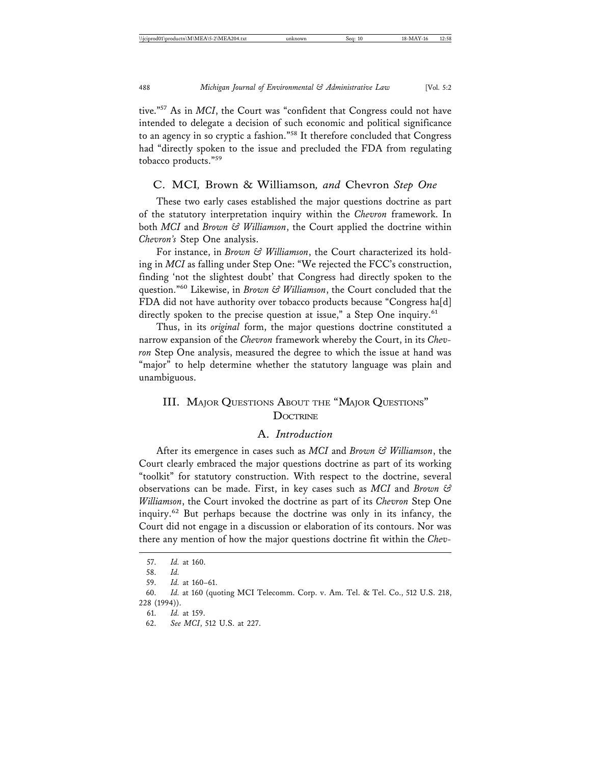tive."57 As in *MCI*, the Court was "confident that Congress could not have intended to delegate a decision of such economic and political significance to an agency in so cryptic a fashion."58 It therefore concluded that Congress had "directly spoken to the issue and precluded the FDA from regulating tobacco products."<sup>59</sup>

## C. MCI*,* Brown & Williamson*, and* Chevron *Step One*

These two early cases established the major questions doctrine as part of the statutory interpretation inquiry within the *Chevron* framework. In both *MCI* and *Brown & Williamson*, the Court applied the doctrine within *Chevron's* Step One analysis.

For instance, in *Brown & Williamson*, the Court characterized its holding in *MCI* as falling under Step One: "We rejected the FCC's construction, finding 'not the slightest doubt' that Congress had directly spoken to the question."60 Likewise, in *Brown & Williamson*, the Court concluded that the FDA did not have authority over tobacco products because "Congress ha[d] directly spoken to the precise question at issue," a Step One inquiry.<sup>61</sup>

Thus, in its *original* form, the major questions doctrine constituted a narrow expansion of the *Chevron* framework whereby the Court, in its *Chevron* Step One analysis, measured the degree to which the issue at hand was "major" to help determine whether the statutory language was plain and unambiguous.

## III. MAJOR QUESTIONS ABOUT THE "MAJOR QUESTIONS" **DOCTRINE**

## A. *Introduction*

After its emergence in cases such as *MCI* and *Brown & Williamson*, the Court clearly embraced the major questions doctrine as part of its working "toolkit" for statutory construction. With respect to the doctrine, several observations can be made. First, in key cases such as *MCI* and *Brown & Williamson*, the Court invoked the doctrine as part of its *Chevron* Step One inquiry.62 But perhaps because the doctrine was only in its infancy, the Court did not engage in a discussion or elaboration of its contours. Nor was there any mention of how the major questions doctrine fit within the *Chev-*

<sup>57.</sup> *Id.* at 160.

<sup>58.</sup> *Id.*

<sup>59.</sup> *Id.* at 160–61.

<sup>60.</sup> *Id.* at 160 (quoting MCI Telecomm. Corp. v. Am. Tel. & Tel. Co., 512 U.S. 218, 228 (1994)).

<sup>61.</sup> *Id.* at 159.

<sup>62.</sup> *See MCI*, 512 U.S. at 227.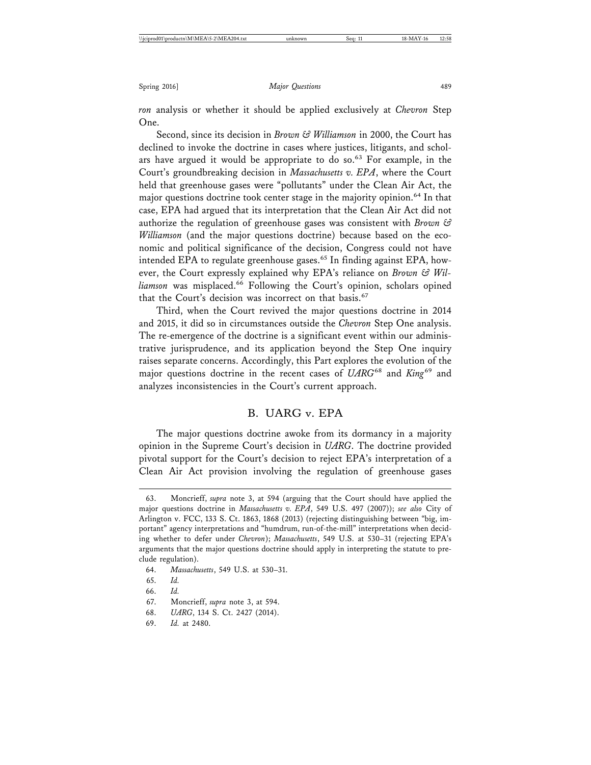*ron* analysis or whether it should be applied exclusively at *Chevron* Step One.

Second, since its decision in *Brown & Williamson* in 2000, the Court has declined to invoke the doctrine in cases where justices, litigants, and scholars have argued it would be appropriate to do so.<sup>63</sup> For example, in the Court's groundbreaking decision in *Massachusetts v. EPA*, where the Court held that greenhouse gases were "pollutants" under the Clean Air Act, the major questions doctrine took center stage in the majority opinion.<sup>64</sup> In that case, EPA had argued that its interpretation that the Clean Air Act did not authorize the regulation of greenhouse gases was consistent with *Brown & Williamson* (and the major questions doctrine) because based on the economic and political significance of the decision, Congress could not have intended EPA to regulate greenhouse gases.<sup>65</sup> In finding against EPA, however, the Court expressly explained why EPA's reliance on *Brown & Wil*liamson was misplaced.<sup>66</sup> Following the Court's opinion, scholars opined that the Court's decision was incorrect on that basis.<sup>67</sup>

Third, when the Court revived the major questions doctrine in 2014 and 2015, it did so in circumstances outside the *Chevron* Step One analysis. The re-emergence of the doctrine is a significant event within our administrative jurisprudence, and its application beyond the Step One inquiry raises separate concerns. Accordingly, this Part explores the evolution of the major questions doctrine in the recent cases of *UARG*68 and *King*69 and analyzes inconsistencies in the Court's current approach.

## B. UARG v. EPA

The major questions doctrine awoke from its dormancy in a majority opinion in the Supreme Court's decision in *UARG*. The doctrine provided pivotal support for the Court's decision to reject EPA's interpretation of a Clean Air Act provision involving the regulation of greenhouse gases

- 65. *Id.*
- 66. *Id.*

68. *UARG*, 134 S. Ct. 2427 (2014).

<sup>63.</sup> Moncrieff, *supra* note 3, at 594 (arguing that the Court should have applied the major questions doctrine in *Massachusetts v. EPA*, 549 U.S. 497 (2007)); *see also* City of Arlington v. FCC, 133 S. Ct. 1863, 1868 (2013) (rejecting distinguishing between "big, important" agency interpretations and "humdrum, run-of-the-mill" interpretations when deciding whether to defer under *Chevron*); *Massachusetts*, 549 U.S. at 530–31 (rejecting EPA's arguments that the major questions doctrine should apply in interpreting the statute to preclude regulation).

<sup>64.</sup> *Massachusetts*, 549 U.S. at 530–31.

<sup>67.</sup> Moncrieff, *supra* note 3, at 594.

<sup>69.</sup> *Id.* at 2480.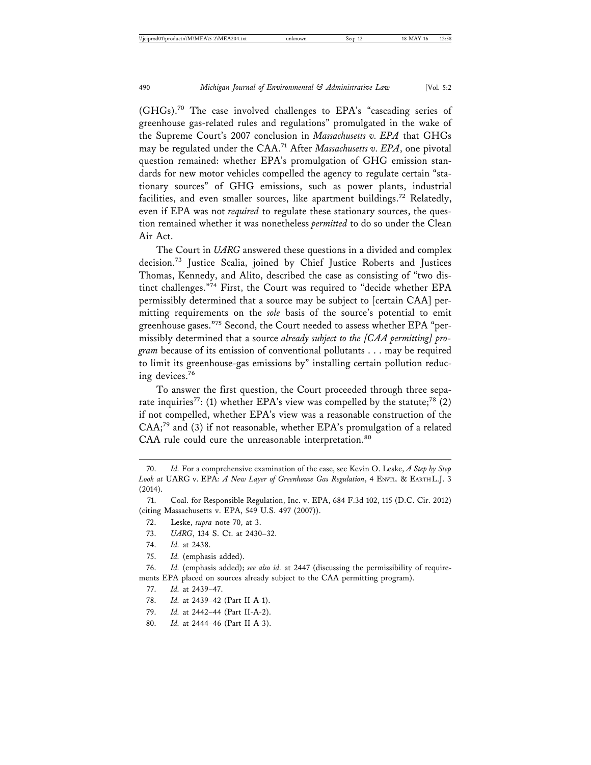(GHGs).70 The case involved challenges to EPA's "cascading series of greenhouse gas-related rules and regulations" promulgated in the wake of the Supreme Court's 2007 conclusion in *Massachusetts v. EPA* that GHGs may be regulated under the CAA.71 After *Massachusetts v. EPA*, one pivotal question remained: whether EPA's promulgation of GHG emission standards for new motor vehicles compelled the agency to regulate certain "stationary sources" of GHG emissions, such as power plants, industrial facilities, and even smaller sources, like apartment buildings.72 Relatedly, even if EPA was not *required* to regulate these stationary sources, the question remained whether it was nonetheless *permitted* to do so under the Clean Air Act.

The Court in *UARG* answered these questions in a divided and complex decision.73 Justice Scalia, joined by Chief Justice Roberts and Justices Thomas, Kennedy, and Alito, described the case as consisting of "two distinct challenges."<sup>74</sup> First, the Court was required to "decide whether EPA permissibly determined that a source may be subject to [certain CAA] permitting requirements on the *sole* basis of the source's potential to emit greenhouse gases."75 Second, the Court needed to assess whether EPA "permissibly determined that a source *already subject to the [CAA permitting] program* because of its emission of conventional pollutants . . . may be required to limit its greenhouse-gas emissions by" installing certain pollution reducing devices.<sup>76</sup>

To answer the first question, the Court proceeded through three separate inquiries<sup>77</sup>: (1) whether EPA's view was compelled by the statute;<sup>78</sup> (2) if not compelled, whether EPA's view was a reasonable construction of the  $CAA$ ;<sup>79</sup> and (3) if not reasonable, whether EPA's promulgation of a related CAA rule could cure the unreasonable interpretation.<sup>80</sup>

- 74. *Id.* at 2438.
- 75. *Id.* (emphasis added).

76. *Id.* (emphasis added); *see also id.* at 2447 (discussing the permissibility of requirements EPA placed on sources already subject to the CAA permitting program).

- 78. *Id.* at 2439–42 (Part II-A-1).
- 79. *Id.* at 2442–44 (Part II-A-2).
- 80. *Id.* at 2444–46 (Part II-A-3).

<sup>70.</sup> *Id.* For a comprehensive examination of the case, see Kevin O. Leske, *A Step by Step Look at* UARG v. EPA*: A New Layer of Greenhouse Gas Regulation*, 4 ENVTL. & EARTH L.J. 3 (2014).

<sup>71.</sup> Coal. for Responsible Regulation, Inc. v. EPA, 684 F.3d 102, 115 (D.C. Cir. 2012) (citing Massachusetts v. EPA, 549 U.S. 497 (2007)).

<sup>72.</sup> Leske, *supra* note 70, at 3.

<sup>73.</sup> *UARG*, 134 S. Ct. at 2430–32.

<sup>77.</sup> *Id.* at 2439–47.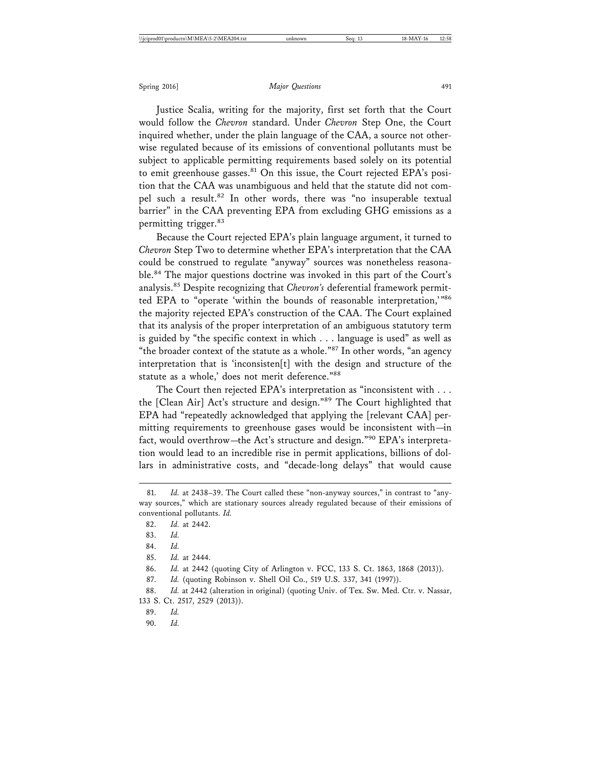Justice Scalia, writing for the majority, first set forth that the Court would follow the *Chevron* standard. Under *Chevron* Step One, the Court inquired whether, under the plain language of the CAA, a source not otherwise regulated because of its emissions of conventional pollutants must be subject to applicable permitting requirements based solely on its potential to emit greenhouse gasses. $81$  On this issue, the Court rejected EPA's position that the CAA was unambiguous and held that the statute did not compel such a result.<sup>82</sup> In other words, there was "no insuperable textual barrier" in the CAA preventing EPA from excluding GHG emissions as a permitting trigger.<sup>83</sup>

Because the Court rejected EPA's plain language argument, it turned to *Chevron* Step Two to determine whether EPA's interpretation that the CAA could be construed to regulate "anyway" sources was nonetheless reasonable.84 The major questions doctrine was invoked in this part of the Court's analysis.85 Despite recognizing that *Chevron's* deferential framework permitted EPA to "operate 'within the bounds of reasonable interpretation,'"86 the majority rejected EPA's construction of the CAA. The Court explained that its analysis of the proper interpretation of an ambiguous statutory term is guided by "the specific context in which . . . language is used" as well as "the broader context of the statute as a whole."<sup>87</sup> In other words, "an agency interpretation that is 'inconsisten[t] with the design and structure of the statute as a whole,' does not merit deference."88

The Court then rejected EPA's interpretation as "inconsistent with . . . the [Clean Air] Act's structure and design."89 The Court highlighted that EPA had "repeatedly acknowledged that applying the [relevant CAA] permitting requirements to greenhouse gases would be inconsistent with—in fact, would overthrow—the Act's structure and design."90 EPA's interpretation would lead to an incredible rise in permit applications, billions of dollars in administrative costs, and "decade-long delays" that would cause

<sup>81.</sup> *Id.* at 2438-39. The Court called these "non-anyway sources," in contrast to "anyway sources," which are stationary sources already regulated because of their emissions of conventional pollutants. *Id.*

<sup>82.</sup> *Id.* at 2442.

<sup>83.</sup> *Id.*

<sup>84.</sup> *Id.*

<sup>85.</sup> *Id.* at 2444.

<sup>86.</sup> *Id.* at 2442 (quoting City of Arlington v. FCC, 133 S. Ct. 1863, 1868 (2013)).

<sup>87.</sup> *Id.* (quoting Robinson v. Shell Oil Co., 519 U.S. 337, 341 (1997)).

<sup>88.</sup> *Id.* at 2442 (alteration in original) (quoting Univ. of Tex. Sw. Med. Ctr. v. Nassar, 133 S. Ct. 2517, 2529 (2013)).

<sup>89.</sup> *Id.*

<sup>90.</sup> *Id.*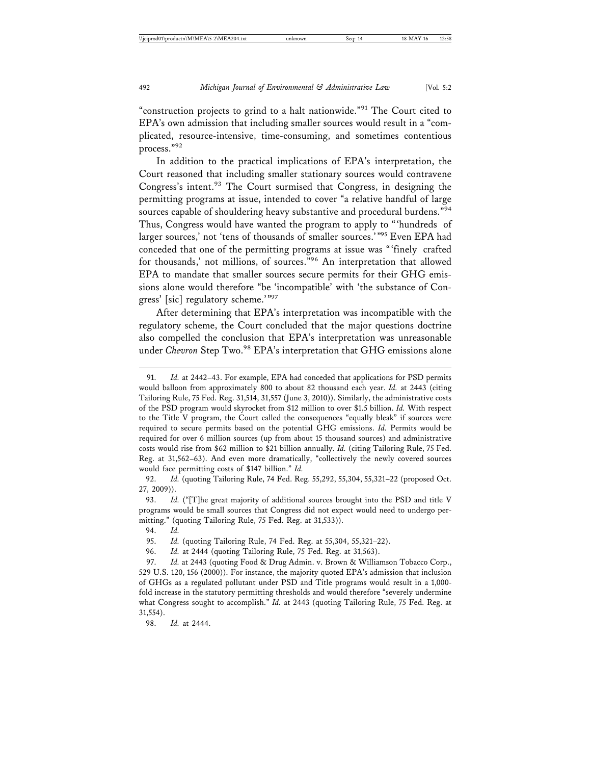"construction projects to grind to a halt nationwide."<sup>91</sup> The Court cited to EPA's own admission that including smaller sources would result in a "complicated, resource-intensive, time-consuming, and sometimes contentious process."92

In addition to the practical implications of EPA's interpretation, the Court reasoned that including smaller stationary sources would contravene Congress's intent.<sup>93</sup> The Court surmised that Congress, in designing the permitting programs at issue, intended to cover "a relative handful of large sources capable of shouldering heavy substantive and procedural burdens."<sup>94</sup> Thus, Congress would have wanted the program to apply to "'hundreds of larger sources,' not 'tens of thousands of smaller sources.'"95 Even EPA had conceded that one of the permitting programs at issue was "'finely crafted for thousands,' not millions, of sources."96 An interpretation that allowed EPA to mandate that smaller sources secure permits for their GHG emissions alone would therefore "be 'incompatible' with 'the substance of Congress' [sic] regulatory scheme.'"97

After determining that EPA's interpretation was incompatible with the regulatory scheme, the Court concluded that the major questions doctrine also compelled the conclusion that EPA's interpretation was unreasonable under *Chevron* Step Two.<sup>98</sup> EPA's interpretation that GHG emissions alone

92. *Id.* (quoting Tailoring Rule, 74 Fed. Reg. 55,292, 55,304, 55,321–22 (proposed Oct. 27, 2009)).

93. *Id.* ("[T]he great majority of additional sources brought into the PSD and title V programs would be small sources that Congress did not expect would need to undergo permitting." (quoting Tailoring Rule, 75 Fed. Reg. at 31,533)).

95. *Id.* (quoting Tailoring Rule, 74 Fed. Reg. at 55,304, 55,321–22).

96. *Id.* at 2444 (quoting Tailoring Rule, 75 Fed. Reg. at 31,563).

97. *Id.* at 2443 (quoting Food & Drug Admin. v. Brown & Williamson Tobacco Corp., 529 U.S. 120, 156 (2000)). For instance, the majority quoted EPA's admission that inclusion of GHGs as a regulated pollutant under PSD and Title programs would result in a 1,000 fold increase in the statutory permitting thresholds and would therefore "severely undermine what Congress sought to accomplish." *Id.* at 2443 (quoting Tailoring Rule, 75 Fed. Reg. at 31,554).

98. *Id.* at 2444.

<sup>91.</sup> *Id.* at 2442–43. For example, EPA had conceded that applications for PSD permits would balloon from approximately 800 to about 82 thousand each year. *Id.* at 2443 (citing Tailoring Rule, 75 Fed. Reg. 31,514, 31,557 (June 3, 2010)). Similarly, the administrative costs of the PSD program would skyrocket from \$12 million to over \$1.5 billion. *Id.* With respect to the Title V program, the Court called the consequences "equally bleak" if sources were required to secure permits based on the potential GHG emissions. *Id.* Permits would be required for over 6 million sources (up from about 15 thousand sources) and administrative costs would rise from \$62 million to \$21 billion annually. *Id.* (citing Tailoring Rule, 75 Fed. Reg. at 31,562–63). And even more dramatically, "collectively the newly covered sources would face permitting costs of \$147 billion." *Id.*

<sup>94.</sup> *Id.*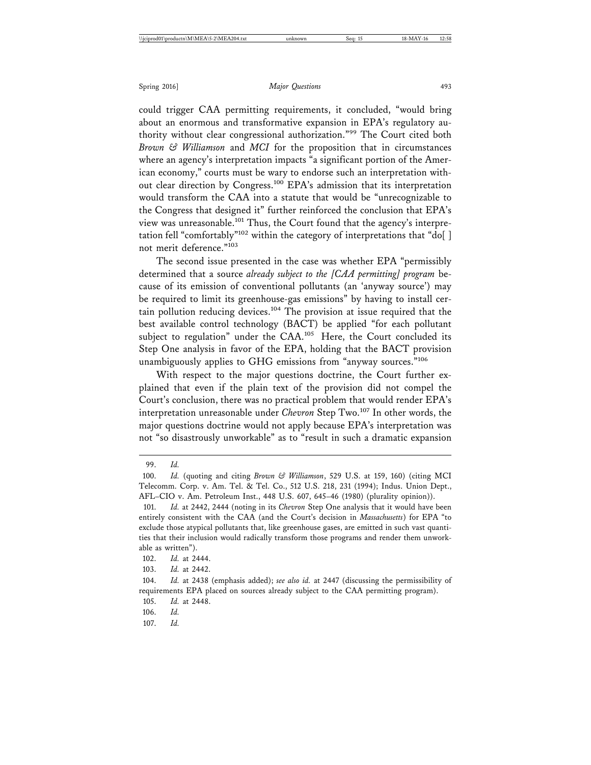could trigger CAA permitting requirements, it concluded, "would bring about an enormous and transformative expansion in EPA's regulatory authority without clear congressional authorization."99 The Court cited both *Brown & Williamson* and *MCI* for the proposition that in circumstances where an agency's interpretation impacts "a significant portion of the American economy," courts must be wary to endorse such an interpretation without clear direction by Congress.<sup>100</sup> EPA's admission that its interpretation would transform the CAA into a statute that would be "unrecognizable to the Congress that designed it" further reinforced the conclusion that EPA's view was unreasonable.<sup>101</sup> Thus, the Court found that the agency's interpretation fell "comfortably"<sup>102</sup> within the category of interpretations that "do[] not merit deference."<sup>103</sup>

The second issue presented in the case was whether EPA "permissibly determined that a source *already subject to the [CAA permitting] program* because of its emission of conventional pollutants (an 'anyway source') may be required to limit its greenhouse-gas emissions" by having to install certain pollution reducing devices.104 The provision at issue required that the best available control technology (BACT) be applied "for each pollutant subject to regulation" under the CAA.<sup>105</sup> Here, the Court concluded its Step One analysis in favor of the EPA, holding that the BACT provision unambiguously applies to GHG emissions from "anyway sources."<sup>106</sup>

With respect to the major questions doctrine, the Court further explained that even if the plain text of the provision did not compel the Court's conclusion, there was no practical problem that would render EPA's interpretation unreasonable under *Chevron* Step Two.107 In other words, the major questions doctrine would not apply because EPA's interpretation was not "so disastrously unworkable" as to "result in such a dramatic expansion

<sup>99.</sup> *Id.*

<sup>100.</sup> *Id.* (quoting and citing *Brown & Williamson*, 529 U.S. at 159, 160) (citing MCI Telecomm. Corp. v. Am. Tel. & Tel. Co., 512 U.S. 218, 231 (1994); Indus. Union Dept., AFL–CIO v. Am. Petroleum Inst., 448 U.S. 607, 645–46 (1980) (plurality opinion)).

<sup>101.</sup> *Id.* at 2442, 2444 (noting in its *Chevron* Step One analysis that it would have been entirely consistent with the CAA (and the Court's decision in *Massachusetts*) for EPA "to exclude those atypical pollutants that, like greenhouse gases, are emitted in such vast quantities that their inclusion would radically transform those programs and render them unworkable as written").

<sup>102.</sup> *Id.* at 2444.

<sup>103.</sup> *Id.* at 2442.

<sup>104.</sup> *Id.* at 2438 (emphasis added); *see also id.* at 2447 (discussing the permissibility of requirements EPA placed on sources already subject to the CAA permitting program).

<sup>105.</sup> *Id.* at 2448.

<sup>106.</sup> *Id.*

<sup>107.</sup> *Id.*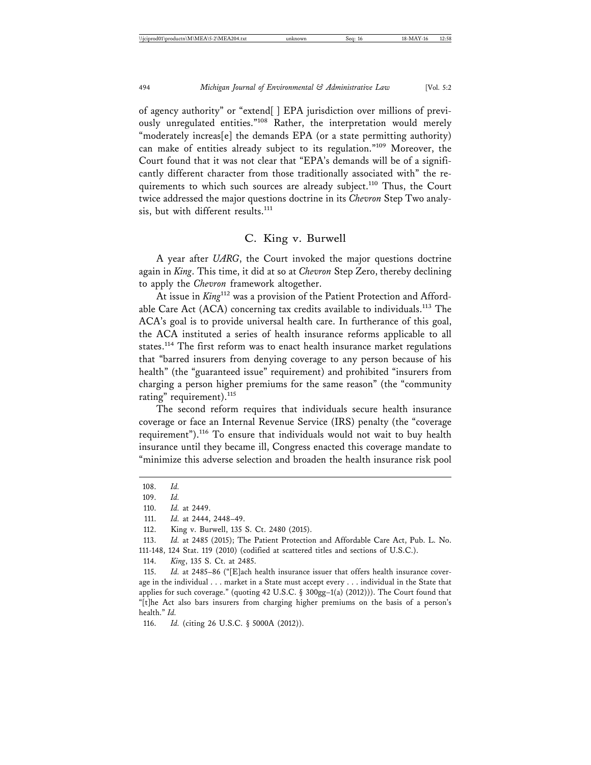of agency authority" or "extend[ ] EPA jurisdiction over millions of previously unregulated entities."<sup>108</sup> Rather, the interpretation would merely "moderately increas[e] the demands EPA (or a state permitting authority) can make of entities already subject to its regulation."109 Moreover, the Court found that it was not clear that "EPA's demands will be of a significantly different character from those traditionally associated with" the requirements to which such sources are already subject.<sup>110</sup> Thus, the Court twice addressed the major questions doctrine in its *Chevron* Step Two analysis, but with different results.<sup>111</sup>

## C. King v. Burwell

A year after *UARG*, the Court invoked the major questions doctrine again in *King*. This time, it did at so at *Chevron* Step Zero, thereby declining to apply the *Chevron* framework altogether.

At issue in *King*<sup>112</sup> was a provision of the Patient Protection and Affordable Care Act (ACA) concerning tax credits available to individuals.<sup>113</sup> The ACA's goal is to provide universal health care. In furtherance of this goal, the ACA instituted a series of health insurance reforms applicable to all states.<sup>114</sup> The first reform was to enact health insurance market regulations that "barred insurers from denying coverage to any person because of his health" (the "guaranteed issue" requirement) and prohibited "insurers from charging a person higher premiums for the same reason" (the "community rating" requirement).<sup>115</sup>

The second reform requires that individuals secure health insurance coverage or face an Internal Revenue Service (IRS) penalty (the "coverage requirement").116 To ensure that individuals would not wait to buy health insurance until they became ill, Congress enacted this coverage mandate to "minimize this adverse selection and broaden the health insurance risk pool

<sup>108.</sup> *Id.*

<sup>109.</sup> *Id.*

<sup>110.</sup> *Id.* at 2449.

<sup>111.</sup> *Id.* at 2444, 2448–49.

<sup>112.</sup> King v. Burwell, 135 S. Ct. 2480 (2015).

<sup>113.</sup> *Id.* at 2485 (2015); The Patient Protection and Affordable Care Act, Pub. L. No. 111-148, 124 Stat. 119 (2010) (codified at scattered titles and sections of U.S.C.).

<sup>114.</sup> *King*, 135 S. Ct. at 2485.

<sup>115.</sup> *Id.* at 2485–86 ("[E]ach health insurance issuer that offers health insurance coverage in the individual . . . market in a State must accept every . . . individual in the State that applies for such coverage." (quoting 42 U.S.C. § 300gg–1(a) (2012))). The Court found that "[t]he Act also bars insurers from charging higher premiums on the basis of a person's health." *Id.*

<sup>116.</sup> *Id.* (citing 26 U.S.C. § 5000A (2012)).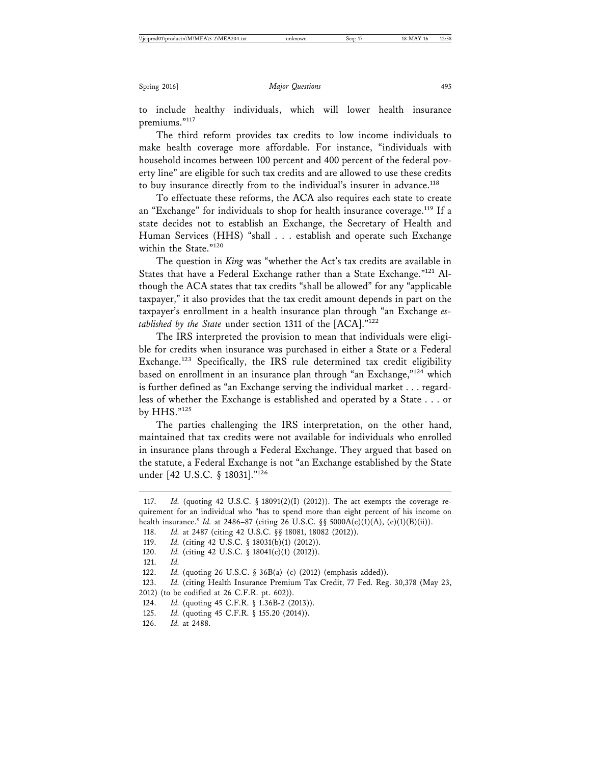to include healthy individuals, which will lower health insurance premiums."117

The third reform provides tax credits to low income individuals to make health coverage more affordable. For instance, "individuals with household incomes between 100 percent and 400 percent of the federal poverty line" are eligible for such tax credits and are allowed to use these credits to buy insurance directly from to the individual's insurer in advance.<sup>118</sup>

To effectuate these reforms, the ACA also requires each state to create an "Exchange" for individuals to shop for health insurance coverage.<sup>119</sup> If a state decides not to establish an Exchange, the Secretary of Health and Human Services (HHS) "shall . . . establish and operate such Exchange within the State."<sup>120</sup>

The question in *King* was "whether the Act's tax credits are available in States that have a Federal Exchange rather than a State Exchange."<sup>121</sup> Although the ACA states that tax credits "shall be allowed" for any "applicable taxpayer," it also provides that the tax credit amount depends in part on the taxpayer's enrollment in a health insurance plan through "an Exchange *established by the State* under section 1311 of the [ACA]."122

The IRS interpreted the provision to mean that individuals were eligible for credits when insurance was purchased in either a State or a Federal Exchange.123 Specifically, the IRS rule determined tax credit eligibility based on enrollment in an insurance plan through "an Exchange,"124 which is further defined as "an Exchange serving the individual market . . . regardless of whether the Exchange is established and operated by a State . . . or by HHS."<sup>125</sup>

The parties challenging the IRS interpretation, on the other hand, maintained that tax credits were not available for individuals who enrolled in insurance plans through a Federal Exchange. They argued that based on the statute, a Federal Exchange is not "an Exchange established by the State under [42 U.S.C. § 18031]."126

120. *Id.* (citing 42 U.S.C. § 18041(c)(1) (2012)).

<sup>117.</sup> *Id.* (quoting 42 U.S.C. § 18091(2)(I) (2012)). The act exempts the coverage requirement for an individual who "has to spend more than eight percent of his income on health insurance." *Id.* at 2486–87 (citing 26 U.S.C. §§ 5000A(e)(1)(A), (e)(1)(B)(ii)).

<sup>118.</sup> *Id.* at 2487 (citing 42 U.S.C. §§ 18081, 18082 (2012)).

<sup>119.</sup> *Id.* (citing 42 U.S.C. § 18031(b)(1) (2012)).

<sup>121.</sup> *Id.*

<sup>122.</sup> *Id.* (quoting 26 U.S.C. § 36B(a)–(c) (2012) (emphasis added)).

<sup>123.</sup> *Id.* (citing Health Insurance Premium Tax Credit, 77 Fed. Reg. 30,378 (May 23, 2012) (to be codified at 26 C.F.R. pt. 602)).

<sup>124.</sup> *Id.* (quoting 45 C.F.R. § 1.36B-2 (2013)).

<sup>125.</sup> *Id.* (quoting 45 C.F.R. § 155.20 (2014)).

<sup>126.</sup> *Id.* at 2488.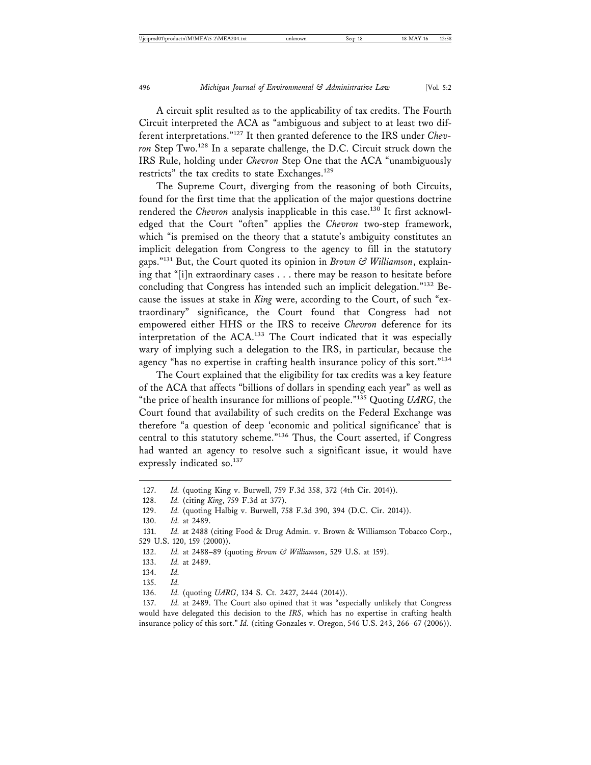A circuit split resulted as to the applicability of tax credits. The Fourth Circuit interpreted the ACA as "ambiguous and subject to at least two different interpretations."127 It then granted deference to the IRS under *Chevron* Step Two.128 In a separate challenge, the D.C. Circuit struck down the IRS Rule, holding under *Chevron* Step One that the ACA "unambiguously restricts" the tax credits to state Exchanges.<sup>129</sup>

The Supreme Court, diverging from the reasoning of both Circuits, found for the first time that the application of the major questions doctrine rendered the *Chevron* analysis inapplicable in this case.<sup>130</sup> It first acknowledged that the Court "often" applies the *Chevron* two-step framework, which "is premised on the theory that a statute's ambiguity constitutes an implicit delegation from Congress to the agency to fill in the statutory gaps."131 But, the Court quoted its opinion in *Brown & Williamson*, explaining that "[i]n extraordinary cases . . . there may be reason to hesitate before concluding that Congress has intended such an implicit delegation."132 Because the issues at stake in *King* were, according to the Court, of such "extraordinary" significance, the Court found that Congress had not empowered either HHS or the IRS to receive *Chevron* deference for its interpretation of the ACA.133 The Court indicated that it was especially wary of implying such a delegation to the IRS, in particular, because the agency "has no expertise in crafting health insurance policy of this sort."<sup>134</sup>

The Court explained that the eligibility for tax credits was a key feature of the ACA that affects "billions of dollars in spending each year" as well as "the price of health insurance for millions of people."135 Quoting *UARG*, the Court found that availability of such credits on the Federal Exchange was therefore "a question of deep 'economic and political significance' that is central to this statutory scheme."136 Thus, the Court asserted, if Congress had wanted an agency to resolve such a significant issue, it would have expressly indicated so.<sup>137</sup>

<sup>127.</sup> *Id.* (quoting King v. Burwell, 759 F.3d 358, 372 (4th Cir. 2014)).

<sup>128.</sup> *Id.* (citing *King*, 759 F.3d at 377).

<sup>129.</sup> *Id.* (quoting Halbig v. Burwell, 758 F.3d 390, 394 (D.C. Cir. 2014)).

<sup>130.</sup> *Id.* at 2489.

<sup>131.</sup> *Id.* at 2488 (citing Food & Drug Admin. v. Brown & Williamson Tobacco Corp., 529 U.S. 120, 159 (2000)).

<sup>132.</sup> *Id.* at 2488–89 (quoting *Brown & Williamson*, 529 U.S. at 159).

<sup>133.</sup> *Id.* at 2489.

<sup>134.</sup> *Id.*

<sup>135.</sup> *Id.*

<sup>136.</sup> *Id.* (quoting *UARG*, 134 S. Ct. 2427, 2444 (2014)).

<sup>137.</sup> *Id.* at 2489. The Court also opined that it was "especially unlikely that Congress would have delegated this decision to the *IRS*, which has no expertise in crafting health insurance policy of this sort." *Id.* (citing Gonzales v. Oregon, 546 U.S. 243, 266–67 (2006)).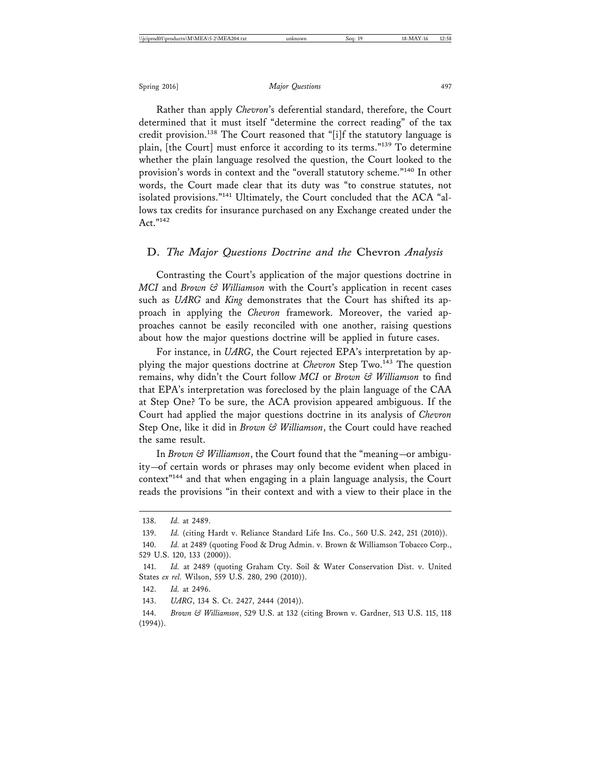Rather than apply *Chevron*'s deferential standard, therefore, the Court determined that it must itself "determine the correct reading" of the tax credit provision.<sup>138</sup> The Court reasoned that "[i]f the statutory language is plain, [the Court] must enforce it according to its terms."139 To determine whether the plain language resolved the question, the Court looked to the provision's words in context and the "overall statutory scheme."140 In other words, the Court made clear that its duty was "to construe statutes, not isolated provisions."141 Ultimately, the Court concluded that the ACA "allows tax credits for insurance purchased on any Exchange created under the Act."142

### D. *The Major Questions Doctrine and the* Chevron *Analysis*

Contrasting the Court's application of the major questions doctrine in *MCI* and *Brown & Williamson* with the Court's application in recent cases such as *UARG* and *King* demonstrates that the Court has shifted its approach in applying the *Chevron* framework. Moreover, the varied approaches cannot be easily reconciled with one another, raising questions about how the major questions doctrine will be applied in future cases.

For instance, in *UARG*, the Court rejected EPA's interpretation by applying the major questions doctrine at *Chevron* Step Two.<sup>143</sup> The question remains, why didn't the Court follow *MCI* or *Brown & Williamson* to find that EPA's interpretation was foreclosed by the plain language of the CAA at Step One? To be sure, the ACA provision appeared ambiguous. If the Court had applied the major questions doctrine in its analysis of *Chevron* Step One, like it did in *Brown & Williamson*, the Court could have reached the same result.

In *Brown & Williamson*, the Court found that the "meaning—or ambiguity—of certain words or phrases may only become evident when placed in context"144 and that when engaging in a plain language analysis, the Court reads the provisions "in their context and with a view to their place in the

<sup>138.</sup> *Id.* at 2489.

<sup>139.</sup> *Id.* (citing Hardt v. Reliance Standard Life Ins. Co., 560 U.S. 242, 251 (2010)).

<sup>140.</sup> *Id.* at 2489 (quoting Food & Drug Admin. v. Brown & Williamson Tobacco Corp., 529 U.S. 120, 133 (2000)).

<sup>141.</sup> *Id.* at 2489 (quoting Graham Cty. Soil & Water Conservation Dist. v. United States *ex rel.* Wilson, 559 U.S. 280, 290 (2010)).

<sup>142.</sup> *Id.* at 2496.

<sup>143.</sup> *UARG*, 134 S. Ct. 2427, 2444 (2014)).

<sup>144.</sup> *Brown & Williamson*, 529 U.S. at 132 (citing Brown v. Gardner, 513 U.S. 115, 118 (1994)).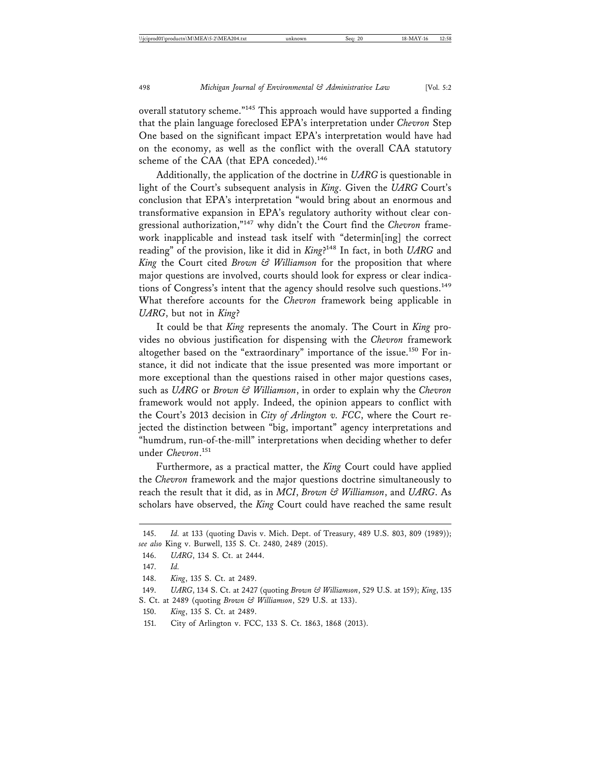overall statutory scheme."145 This approach would have supported a finding that the plain language foreclosed EPA's interpretation under *Chevron* Step One based on the significant impact EPA's interpretation would have had on the economy, as well as the conflict with the overall CAA statutory scheme of the CAA (that EPA conceded).<sup>146</sup>

Additionally, the application of the doctrine in *UARG* is questionable in light of the Court's subsequent analysis in *King*. Given the *UARG* Court's conclusion that EPA's interpretation "would bring about an enormous and transformative expansion in EPA's regulatory authority without clear congressional authorization,"147 why didn't the Court find the *Chevron* framework inapplicable and instead task itself with "determin[ing] the correct reading" of the provision, like it did in *King*? 148 In fact, in both *UARG* and *King* the Court cited *Brown & Williamson* for the proposition that where major questions are involved, courts should look for express or clear indications of Congress's intent that the agency should resolve such questions.<sup>149</sup> What therefore accounts for the *Chevron* framework being applicable in *UARG*, but not in *King*?

It could be that *King* represents the anomaly. The Court in *King* provides no obvious justification for dispensing with the *Chevron* framework altogether based on the "extraordinary" importance of the issue.<sup>150</sup> For instance, it did not indicate that the issue presented was more important or more exceptional than the questions raised in other major questions cases, such as *UARG* or *Brown & Williamson*, in order to explain why the *Chevron* framework would not apply. Indeed, the opinion appears to conflict with the Court's 2013 decision in *City of Arlington v. FCC*, where the Court rejected the distinction between "big, important" agency interpretations and "humdrum, run-of-the-mill" interpretations when deciding whether to defer under *Chevron*. 151

Furthermore, as a practical matter, the *King* Court could have applied the *Chevron* framework and the major questions doctrine simultaneously to reach the result that it did, as in *MCI*, *Brown & Williamson*, and *UARG*. As scholars have observed, the *King* Court could have reached the same result

<sup>145.</sup> *Id.* at 133 (quoting Davis v. Mich. Dept. of Treasury, 489 U.S. 803, 809 (1989)); *see also* King v. Burwell, 135 S. Ct. 2480, 2489 (2015).

<sup>146.</sup> *UARG*, 134 S. Ct. at 2444.

<sup>147.</sup> *Id.*

<sup>148.</sup> *King*, 135 S. Ct. at 2489.

<sup>149.</sup> *UARG*, 134 S. Ct. at 2427 (quoting *Brown & Williamson*, 529 U.S. at 159); *King*, 135 S. Ct. at 2489 (quoting *Brown & Williamson*, 529 U.S. at 133).

<sup>150.</sup> *King*, 135 S. Ct. at 2489.

<sup>151.</sup> City of Arlington v. FCC, 133 S. Ct. 1863, 1868 (2013).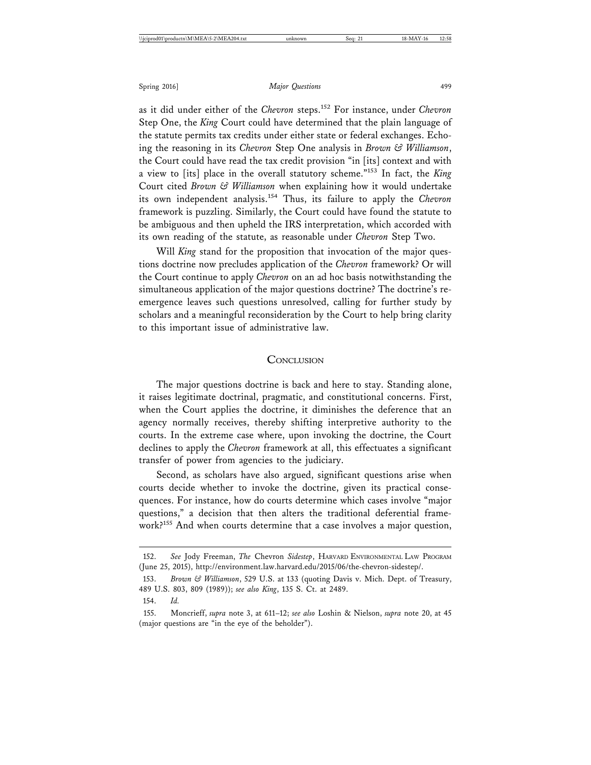as it did under either of the *Chevron* steps.152 For instance, under *Chevron* Step One, the *King* Court could have determined that the plain language of the statute permits tax credits under either state or federal exchanges. Echoing the reasoning in its *Chevron* Step One analysis in *Brown & Williamson*, the Court could have read the tax credit provision "in [its] context and with a view to [its] place in the overall statutory scheme."153 In fact, the *King* Court cited *Brown & Williamson* when explaining how it would undertake its own independent analysis.154 Thus, its failure to apply the *Chevron* framework is puzzling. Similarly, the Court could have found the statute to be ambiguous and then upheld the IRS interpretation, which accorded with its own reading of the statute, as reasonable under *Chevron* Step Two.

Will *King* stand for the proposition that invocation of the major questions doctrine now precludes application of the *Chevron* framework? Or will the Court continue to apply *Chevron* on an ad hoc basis notwithstanding the simultaneous application of the major questions doctrine? The doctrine's reemergence leaves such questions unresolved, calling for further study by scholars and a meaningful reconsideration by the Court to help bring clarity to this important issue of administrative law.

#### **CONCLUSION**

The major questions doctrine is back and here to stay. Standing alone, it raises legitimate doctrinal, pragmatic, and constitutional concerns. First, when the Court applies the doctrine, it diminishes the deference that an agency normally receives, thereby shifting interpretive authority to the courts. In the extreme case where, upon invoking the doctrine, the Court declines to apply the *Chevron* framework at all, this effectuates a significant transfer of power from agencies to the judiciary.

Second, as scholars have also argued, significant questions arise when courts decide whether to invoke the doctrine, given its practical consequences. For instance, how do courts determine which cases involve "major questions," a decision that then alters the traditional deferential framework?<sup>155</sup> And when courts determine that a case involves a major question,

<sup>152.</sup> *See* Jody Freeman, *The* Chevron *Sidestep*, HARVARD ENVIRONMENTAL LAW PROGRAM (June 25, 2015), http://environment.law.harvard.edu/2015/06/the-chevron-sidestep/.

<sup>153.</sup> *Brown & Williamson*, 529 U.S. at 133 (quoting Davis v. Mich. Dept. of Treasury, 489 U.S. 803, 809 (1989)); *see also King*, 135 S. Ct. at 2489.

<sup>154.</sup> *Id.*

<sup>155.</sup> Moncrieff, *supra* note 3, at 611–12; *see also* Loshin & Nielson, *supra* note 20, at 45 (major questions are "in the eye of the beholder").